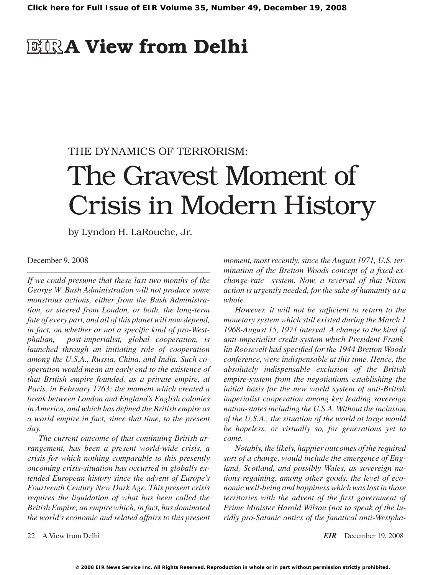# **EIRA View from Delhi**

# THE DYNAMICS OF TERRORISM:

# The Gravest Moment of Crisis in Modern History

by Lyndon H. LaRouche, Jr.

December 9, 2008

*If we could presume that these last two months of the George W. Bush Administration will not produce some monstrous actions, either from the Bush Administration, or steered from London, or both, the long-term fate of every part, and all of this planet will now depend, in fact, on whether or not a specific kind of pro-Westphalian, post-imperialist, global cooperation, is launched through an initiating role of cooperation among the U.S.A., Russia, China, and India. Such cooperation would mean an early end to the existence of that British empire founded, as a private empire, at Paris, in February 1763: the moment which created a break between London and England's English colonies in America, and which has defined the British empire as a world empire in fact, since that time, to the present day.*

*The current outcome of that continuing British arrangement, has been a present world-wide crisis, a crisis for which nothing comparable to this presently oncoming crisis-situation has occurred in globally extended European history since the advent of Europe's Fourteenth Century New Dark Age. This present crisis requires the liquidation of what has been called the British Empire, an empire which, in fact, has dominated the world's economic and related affairs to this present* 

*moment, most recently, since the August 1971, U.S. termination of the Bretton Woods concept of a fixed-exchange-rate system. Now, a reversal of that Nixon action is urgently needed, for the sake of humanity as a whole.*

*However, it will not be sufficient to return to the monetary system which still existed during the March 1 1968-August 15, 1971 interval. A change to the kind of anti-imperialist credit-system which President Franklin Roosevelt had specified for the 1944 Bretton Woods conference, were indispensable at this time. Hence, the absolutely indispensable exclusion of the British empire-system from the negotiations establishing the initial basis for the new world system of anti-British imperialist cooperation among key leading sovereign nation-states including the U.S.A. Without the inclusion of the U.S.A., the situation of the world at large would be hopeless, or virtually so, for generations yet to come.*

*Notably, the likely, happier outcomes of the required sort of a change, would include the emergence of England, Scotland, and possibly Wales, as sovereign nations regaining, among other goods, the level of economic well-being and happiness which was lost in those territories with the advent of the first government of Prime Minister Harold Wilson (not to speak of the luridly pro-Satanic antics of the fanatical anti-Westpha-*

22 A View from Delhi *EIR* December 19, 2008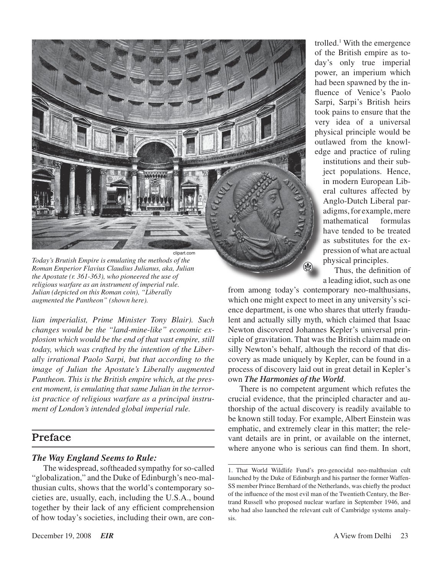

*Today's Brutish Empire is emulating the methods of the Roman Emperior Flavius Claudius Julianus, aka, Julian the Apostate (r. 361-363), who pioneered the use of religious warfare as an instrument of imperial rule. Julian (depicted on this Roman coin), "Liberally augmented the Pantheon" (shown here).*

*lian imperialist, Prime Minister Tony Blair). Such changes would be the "land-mine-like" economic explosion which would be the end of that vast empire, still today, which was crafted by the intention of the Liberally irrational Paolo Sarpi, but that according to the image of Julian the Apostate's Liberally augmented Pantheon. This is the British empire which, at the present moment, is emulating that same Julian in the terrorist practice of religious warfare as a principal instrument of London's intended global imperial rule.*

## Preface

#### *The Way England Seems to Rule:*

The widespread, softheaded sympathy for so-called "globalization," and the Duke of Edinburgh's neo-malthusian cults, shows that the world's contemporary societies are, usually, each, including the U.S.A., bound together by their lack of any efficient comprehension of how today's societies, including their own, are con-

trolled.1 With the emergence of the British empire as today's only true imperial power, an imperium which had been spawned by the influence of Venice's Paolo Sarpi, Sarpi's British heirs took pains to ensure that the very idea of a universal physical principle would be outlawed from the knowledge and practice of ruling

institutions and their subject populations. Hence, in modern European Liberal cultures affected by Anglo-Dutch Liberal paradigms, for example, mere mathematical formulas have tended to be treated as substitutes for the expression of what are actual physical principles.

Thus, the definition of a leading idiot, such as one

from among today's contemporary neo-malthusians, which one might expect to meet in any university's science department, is one who shares that utterly fraudulent and actually silly myth, which claimed that Isaac Newton discovered Johannes Kepler's universal principle of gravitation. That was the British claim made on silly Newton's behalf, although the record of that discovery as made uniquely by Kepler, can be found in a process of discovery laid out in great detail in Kepler's own *The Harmonies of the World*.

 $\Omega$ 

There is no competent argument which refutes the crucial evidence, that the principled character and authorship of the actual discovery is readily available to be known still today. For example, Albert Einstein was emphatic, and extremely clear in this matter; the relevant details are in print, or available on the internet, where anyone who is serious can find them. In short,

<sup>1.</sup> That World Wildlife Fund's pro-genocidal neo-malthusian cult launched by the Duke of Edinburgh and his partner the former Waffen-SS member Prince Bernhard of the Netherlands, was chiefly the product of the influence of the most evil man of the Twentieth Century, the Bertrand Russell who proposed nuclear warfare in September 1946, and who had also launched the relevant cult of Cambridge systems analysis.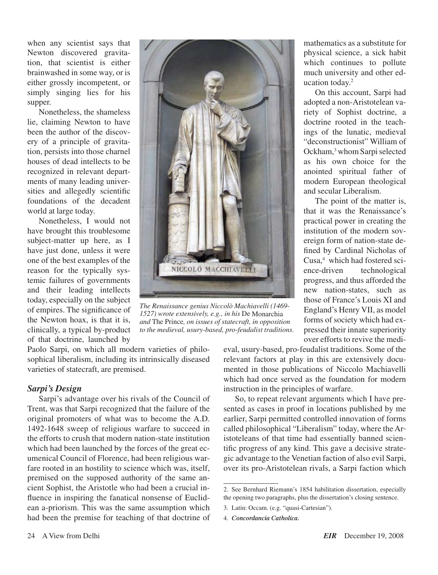when any scientist says that Newton discovered gravitation, that scientist is either brainwashed in some way, or is either grossly incompetent, or simply singing lies for his supper.

Nonetheless, the shameless lie, claiming Newton to have been the author of the discovery of a principle of gravitation, persists into those charnel houses of dead intellects to be recognized in relevant departments of many leading universities and allegedly scientific foundations of the decadent world at large today.

Nonetheless, I would not have brought this troublesome subject-matter up here, as I have just done, unless it were one of the best examples of the reason for the typically systemic failures of governments and their leading intellects today, especially on the subject of empires. The significance of the Newton hoax, is that it is, clinically, a typical by-product of that doctrine, launched by



*The Renaissance genius Niccolò Machiavelli (1469- 1527) wrote extensively, e.g., in his* De Monarchia *and* The Prince*, on issues of statecraft, in opposition to the medieval, usury-based, pro-feudalist traditions.*

Paolo Sarpi, on which all modern varieties of philosophical liberalism, including its intrinsically diseased varieties of statecraft, are premised.

#### *Sarpi's Design*

Sarpi's advantage over his rivals of the Council of Trent, was that Sarpi recognized that the failure of the original promoters of what was to become the A.D. 1492-1648 sweep of religious warfare to succeed in the efforts to crush that modern nation-state institution which had been launched by the forces of the great ecumenical Council of Florence, had been religious warfare rooted in an hostility to science which was, itself, premised on the supposed authority of the same ancient Sophist, the Aristotle who had been a crucial influence in inspiring the fanatical nonsense of Euclidean a-priorism. This was the same assumption which had been the premise for teaching of that doctrine of

mathematics as a substitute for physical science, a sick habit which continues to pollute much university and other education today.2

On this account, Sarpi had adopted a non-Aristotelean variety of Sophist doctrine, a doctrine rooted in the teachings of the lunatic, medieval "deconstructionist" William of Ockham,<sup>3</sup> whom Sarpi selected as his own choice for the anointed spiritual father of modern European theological and secular Liberalism.

The point of the matter is, that it was the Renaissance's practical power in creating the institution of the modern sovereign form of nation-state defined by Cardinal Nicholas of Cusa,<sup>4</sup> which had fostered science-driven technological progress, and thus afforded the new nation-states, such as those of France's Louis XI and England's Henry VII, as model forms of society which had expressed their innate superiority over efforts to revive the medi-

eval, usury-based, pro-feudalist traditions. Some of the relevant factors at play in this are extensively documented in those publications of Niccolo Machiavelli which had once served as the foundation for modern instruction in the principles of warfare.

So, to repeat relevant arguments which I have presented as cases in proof in locations published by me earlier, Sarpi permitted controlled innovation of forms called philosophical "Liberalism" today, where the Aristoteleans of that time had essentially banned scientific progress of any kind. This gave a decisive strategic advantage to the Venetian faction of also evil Sarpi, over its pro-Aristotelean rivals, a Sarpi faction which

<sup>2.</sup> See Bernhard Riemann's 1854 habilitation dissertation, especially the opening two paragraphs, plus the dissertation's closing sentence.

<sup>3.</sup> Latin: Occam. (e.g. "quasi-Cartesian").

<sup>4.</sup> *Concordancia Catholica.*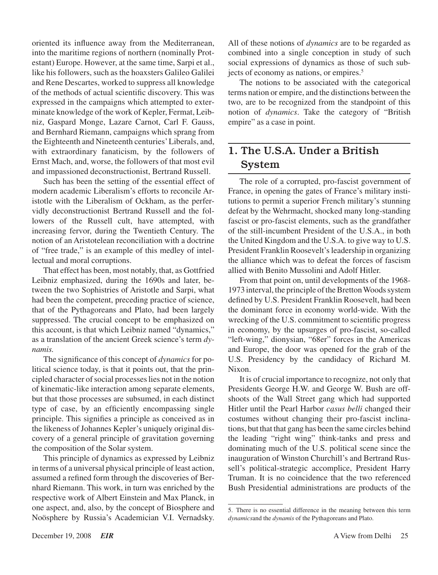oriented its influence away from the Mediterranean, into the maritime regions of northern (nominally Protestant) Europe. However, at the same time, Sarpi et al., like his followers, such as the hoaxsters Galileo Galilei and Rene Descartes, worked to suppress all knowledge of the methods of actual scientific discovery. This was expressed in the campaigns which attempted to exterminate knowledge of the work of Kepler, Fermat, Leibniz, Gaspard Monge, Lazare Carnot, Carl F. Gauss, and Bernhard Riemann, campaigns which sprang from the Eighteenth and Nineteenth centuries'Liberals, and, with extraordinary fanaticism, by the followers of Ernst Mach, and, worse, the followers of that most evil and impassioned deconstructionist, Bertrand Russell.

Such has been the setting of the essential effect of modern academic Liberalism's efforts to reconcile Aristotle with the Liberalism of Ockham, as the perfervidly deconstructionist Bertrand Russell and the followers of the Russell cult, have attempted, with increasing fervor, during the Twentieth Century. The notion of an Aristotelean reconciliation with a doctrine of "free trade," is an example of this medley of intellectual and moral corruptions.

That effect has been, most notably, that, as Gottfried Leibniz emphasized, during the 1690s and later, between the two Sophistries of Aristotle and Sarpi, what had been the competent, preceding practice of science, that of the Pythagoreans and Plato, had been largely suppressed. The crucial concept to be emphasized on this account, is that which Leibniz named "dynamics," as a translation of the ancient Greek science's term *dynamis.*

The significance of this concept of *dynamics* for political science today, is that it points out, that the principled character of social processes lies not in the notion of kinematic-like interaction among separate elements, but that those processes are subsumed, in each distinct type of case, by an efficiently encompassing single principle. This signifies a principle as conceived as in the likeness of Johannes Kepler's uniquely original discovery of a general principle of gravitation governing the composition of the Solar system.

This principle of dynamics as expressed by Leibniz in terms of a universal physical principle of least action, assumed a refined form through the discoveries of Bernhard Riemann. This work, in turn was enriched by the respective work of Albert Einstein and Max Planck, in one aspect, and, also, by the concept of Biosphere and Noösphere by Russia's Academician V.I. Vernadsky. All of these notions of *dynamics* are to be regarded as combined into a single conception in study of such social expressions of dynamics as those of such subjects of economy as nations, or empires.<sup>5</sup>

The notions to be associated with the categorical terms nation or empire, and the distinctions between the two, are to be recognized from the standpoint of this notion of *dynamics*. Take the category of "British empire" as a case in point.

# 1. The U.S.A. Under a British System

The role of a corrupted, pro-fascist government of France, in opening the gates of France's military institutions to permit a superior French military's stunning defeat by the Wehrmacht, shocked many long-standing fascist or pro-fascist elements, such as the grandfather of the still-incumbent President of the U.S.A., in both the United Kingdom and the U.S.A. to give way to U.S. President Franklin Roosevelt'sleadership in organizing the alliance which was to defeat the forces of fascism allied with Benito Mussolini and Adolf Hitler.

From that point on, until developments of the 1968- 1973 interval, the principle of the Bretton Woods system defined by U.S. President Franklin Roosevelt, had been the dominant force in economy world-wide. With the wrecking of the U.S. commitment to scientific progress in economy, by the upsurges of pro-fascist, so-called "left-wing," dionysian, "68er" forces in the Americas and Europe, the door was opened for the grab of the U.S. Presidency by the candidacy of Richard M. Nixon.

It is of crucial importance to recognize, not only that Presidents George H.W. and George W. Bush are offshoots of the Wall Street gang which had supported Hitler until the Pearl Harbor *casus belli* changed their costumes without changing their pro-fascist inclinations, but that that gang has been the same circles behind the leading "right wing" think-tanks and press and dominating much of the U.S. political scene since the inauguration of Winston Churchill's and Bertrand Russell's political-strategic accomplice, President Harry Truman. It is no coincidence that the two referenced Bush Presidential administrations are products of the

<sup>5.</sup> There is no essential difference in the meaning between this term *dynamics*and the *dynamis* of the Pythagoreans and Plato.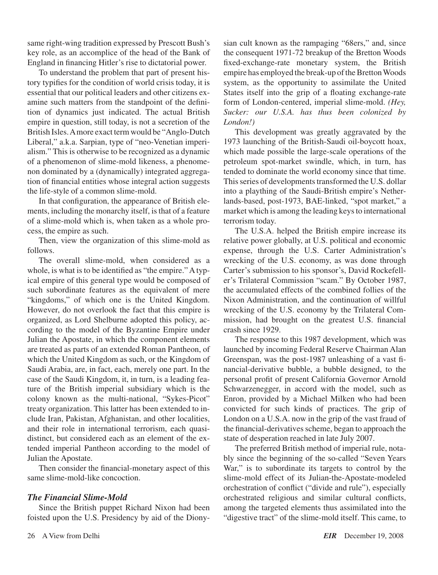same right-wing tradition expressed by Prescott Bush's key role, as an accomplice of the head of the Bank of England in financing Hitler's rise to dictatorial power.

To understand the problem that part of present history typifies for the condition of world crisis today, it is essential that our political leaders and other citizens examine such matters from the standpoint of the definition of dynamics just indicated. The actual British empire in question, still today, is not a secretion of the British Isles.Amore exact termwould be "Anglo-Dutch Liberal," a.k.a. Sarpian, type of "neo-Venetian imperialism." This is otherwise to be recognized as a dynamic of a phenomenon of slime-mold likeness, a phenomenon dominated by a (dynamically) integrated aggregation of financial entities whose integral action suggests the life-style of a common slime-mold.

In that configuration, the appearance of British elements, including the monarchy itself, is that of a feature of a slime-mold which is, when taken as a whole process, the empire as such.

Then, view the organization of this slime-mold as follows.

The overall slime-mold, when considered as a whole, is what is to be identified as "the empire." A typical empire of this general type would be composed of such subordinate features as the equivalent of mere "kingdoms," of which one is the United Kingdom. However, do not overlook the fact that this empire is organized, as Lord Shelburne adopted this policy, according to the model of the Byzantine Empire under Julian the Apostate, in which the component elements are treated as parts of an extended Roman Pantheon, of which the United Kingdom as such, or the Kingdom of Saudi Arabia, are, in fact, each, merely one part. In the case of the Saudi Kingdom, it, in turn, is a leading feature of the British imperial subsidiary which is the colony known as the multi-national, "Sykes-Picot" treaty organization. This latter has been extended to include Iran, Pakistan, Afghanistan, and other localities, and their role in international terrorism, each quasidistinct, but considered each as an element of the extended imperial Pantheon according to the model of Julian the Apostate.

Then consider the financial-monetary aspect of this same slime-mold-like concoction.

#### *The Financial Slime-Mold*

Since the British puppet Richard Nixon had been foisted upon the U.S. Presidency by aid of the Dionysian cult known as the rampaging "68ers," and, since the consequent 1971-72 breakup of the Bretton Woods fixed-exchange-rate monetary system, the British empire has employed the break-up of the Bretton Woods system, as the opportunity to assimilate the United States itself into the grip of a floating exchange-rate form of London-centered, imperial slime-mold. *(Hey, Sucker: our U.S.A. has thus been colonized by London!)*

This development was greatly aggravated by the 1973 launching of the British-Saudi oil-boycott hoax, which made possible the large-scale operations of the petroleum spot-market swindle, which, in turn, has tended to dominate the world economy since that time. This series of developments transformed the U.S. dollar into a plaything of the Saudi-British empire's Netherlands-based, post-1973, BAE-linked, "spot market," a market which is among the leading keysto international terrorism today.

The U.S.A. helped the British empire increase its relative power globally, at U.S. political and economic expense, through the U.S. Carter Administration's wrecking of the U.S. economy, as was done through Carter's submission to his sponsor's, David Rockefeller's Trilateral Commission "scam." By October 1987, the accumulated effects of the combined follies of the Nixon Administration, and the continuation of willful wrecking of the U.S. economy by the Trilateral Commission, had brought on the greatest U.S. financial crash since 1929.

The response to this 1987 development, which was launched by incoming Federal Reserve Chairman Alan Greenspan, was the post-1987 unleashing of a vast financial-derivative bubble, a bubble designed, to the personal profit of present California Governor Arnold Schwarzenegger, in accord with the model, such as Enron, provided by a Michael Milken who had been convicted for such kinds of practices. The grip of London on a U.S.A. now in the grip of the vast fraud of the financial-derivatives scheme, began to approach the state of desperation reached in late July 2007.

The preferred British method of imperial rule, notably since the beginning of the so-called "Seven Years War," is to subordinate its targets to control by the slime-mold effect of its Julian-the-Apostate-modeled orchestration of conflict ("divide and rule"), especially orchestrated religious and similar cultural conflicts, among the targeted elements thus assimilated into the "digestive tract" of the slime-mold itself. This came, to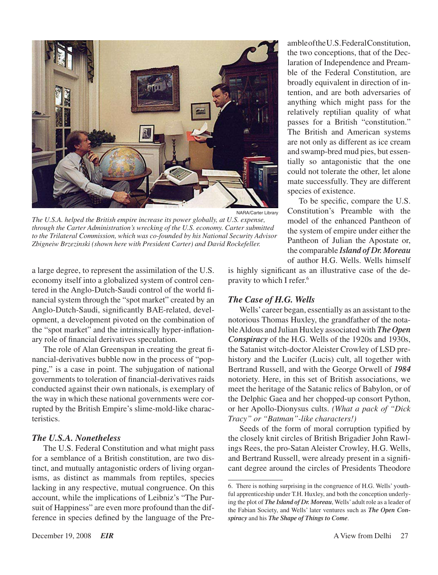

*The U.S.A. helped the British empire increase its power globally, at U.S. expense, through the Carter Administration's wrecking of the U.S. economy. Carter submitted to the Trilateral Commission, which was co-founded by his National Security Advisor Zbigneiw Brzezinski (shown here with President Carter) and David Rockefeller.*

a large degree, to represent the assimilation of the U.S. economy itself into a globalized system of control centered in the Anglo-Dutch-Saudi control of the world financial system through the "spot market" created by an Anglo-Dutch-Saudi, significantly BAE-related, development, a development pivoted on the combination of the "spot market" and the intrinsically hyper-inflationary role of financial derivatives speculation.

The role of Alan Greenspan in creating the great financial-derivatives bubble now in the process of "popping," is a case in point. The subjugation of national governments to toleration of financial-derivatives raids conducted against their own nationals, is exemplary of the way in which these national governments were corrupted by the British Empire's slime-mold-like characteristics.

#### *The U.S.A. Nonetheless*

The U.S. Federal Constitution and what might pass for a semblance of a British constitution, are two distinct, and mutually antagonistic orders of living organisms, as distinct as mammals from reptiles, species lacking in any respective, mutual congruence. On this account, while the implications of Leibniz's "The Pursuit of Happiness" are even more profound than the difference in species defined by the language of the PreambleoftheU.S.FederalConstitution, the two conceptions, that of the Declaration of Independence and Preamble of the Federal Constitution, are broadly equivalent in direction of intention, and are both adversaries of anything which might pass for the relatively reptilian quality of what passes for a British "constitution." The British and American systems are not only as different as ice cream and swamp-bred mud pies, but essentially so antagonistic that the one could not tolerate the other, let alone mate successfully. They are different species of existence.

To be specific, compare the U.S. Constitution's Preamble with the model of the enhanced Pantheon of the system of empire under either the Pantheon of Julian the Apostate or, the comparable *Island of Dr. Moreau* of author H.G. Wells. Wells himself

is highly significant as an illustrative case of the depravity to which I refer.6

#### *The Case of H.G. Wells*

Wells'career began, essentially as an assistant to the notorious Thomas Huxley, the grandfather of the notableAldous and Julian Huxley associated with *The Open Conspiracy* of the H.G. Wells of the 1920s and 1930s, the Satanist witch-doctor Aleister Crowley of LSD prehistory and the Lucifer (Lucis) cult, all together with Bertrand Russell, and with the George Orwell of *1984* notoriety. Here, in this set of British associations, we meet the heritage of the Satanic relics of Babylon, or of the Delphic Gaea and her chopped-up consort Python, or her Apollo-Dionysus cults. *(What a pack of "Dick Tracy" or "Batman"-like characters!)*

Seeds of the form of moral corruption typified by the closely knit circles of British Brigadier John Rawlings Rees, the pro-Satan Aleister Crowley, H.G. Wells, and Bertrand Russell, were already present in a significant degree around the circles of Presidents Theodore

<sup>6.</sup> There is nothing surprising in the congruence of H.G. Wells' youthful apprenticeship under T.H. Huxley, and both the conception underlying the plot of *The Island of Dr. Moreau*, Wells' adult role as a leader of the Fabian Society, and Wells' later ventures such as *The Open Conspiracy* and his *The Shape of Things to Come*.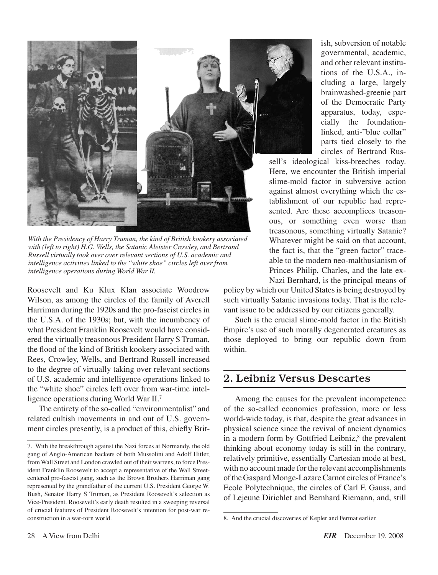

*With the Presidency of Harry Truman, the kind of British kookery associated*  with (left to right) H.G. Wells, the Satanic Aleister Crowley, and Bertrand *Russell virtually took over over relevant sections of U.S. academic and intelligence activities linked to the "white shoe" circles left over from intelligence operations during World War II.*

Roosevelt and Ku Klux Klan associate Woodrow Wilson, as among the circles of the family of Averell Harriman during the 1920s and the pro-fascist circles in the U.S.A. of the 1930s; but, with the incumbency of what President Franklin Roosevelt would have considered the virtually treasonous President Harry S Truman, the flood of the kind of British kookery associated with Rees, Crowley, Wells, and Bertrand Russell increased to the degree of virtually taking over relevant sections of U.S. academic and intelligence operations linked to the "white shoe" circles left over from war-time intelligence operations during World War II.7

The entirety of the so-called "environmentalist" and related cultish movements in and out of U.S. government circles presently, is a product of this, chiefly Brit-

ish, subversion of notable governmental, academic, and other relevant institutions of the U.S.A., including a large, largely brainwashed-greenie part of the Democratic Party apparatus, today, especially the foundationlinked, anti-"blue collar" parts tied closely to the circles of Bertrand Rus-

sell's ideological kiss-breeches today. Here, we encounter the British imperial slime-mold factor in subversive action against almost everything which the establishment of our republic had represented. Are these accomplices treasonous, or something even worse than treasonous, something virtually Satanic? Whatever might be said on that account, the fact is, that the "green factor" traceable to the modern neo-malthusianism of Princes Philip, Charles, and the late ex-Nazi Bernhard, is the principal means of

policy by which our United Statesis being destroyed by such virtually Satanic invasions today. That is the relevant issue to be addressed by our citizens generally.

Such is the crucial slime-mold factor in the British Empire's use of such morally degenerated creatures as those deployed to bring our republic down from within.

## 2. Leibniz Versus Descartes

Among the causes for the prevalent incompetence of the so-called economics profession, more or less world-wide today, is that, despite the great advances in physical science since the revival of ancient dynamics in a modern form by Gottfried Leibniz,<sup>8</sup> the prevalent thinking about economy today is still in the contrary, relatively primitive, essentially Cartesian mode at best, with no account made for the relevant accomplishments of the Gaspard Monge-Lazare Carnot circles of France's Ecole Polytechnique, the circles of Carl F. Gauss, and of Lejeune Dirichlet and Bernhard Riemann, and, still

<sup>7.</sup> With the breakthrough against the Nazi forces at Normandy, the old gang of Anglo-American backers of both Mussolini and Adolf Hitler, from Wall Street and London crawled out of their warrens, to force President Franklin Roosevelt to accept a representative of the Wall Streetcentered pro-fascist gang, such as the Brown Brothers Harriman gang represented by the grandfather of the current U.S. President George W. Bush, Senator Harry S Truman, as President Roosevelt's selection as Vice-President. Roosevelt's early death resulted in a sweeping reversal of crucial features of President Roosevelt's intention for post-war reconstruction in a war-torn world.

<sup>8.</sup> And the crucial discoveries of Kepler and Fermat earlier.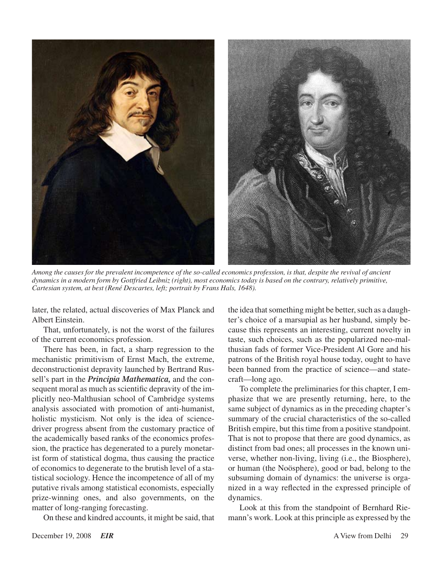

*Among the causes for the prevalent incompetence of the so-called economics profession, is that, despite the revival of ancient dynamics in a modern form by Gottfried Leibniz (right), most economics today is based on the contrary, relatively primitive, Cartesian system, at best (René Descartes, left; portrait by Frans Hals, 1648).*

later, the related, actual discoveries of Max Planck and Albert Einstein.

That, unfortunately, is not the worst of the failures of the current economics profession.

There has been, in fact, a sharp regression to the mechanistic primitivism of Ernst Mach, the extreme, deconstructionist depravity launched by Bertrand Russell's part in the *Principia Mathematica,* and the consequent moral as much as scientific depravity of the implicitly neo-Malthusian school of Cambridge systems analysis associated with promotion of anti-humanist, holistic mysticism. Not only is the idea of sciencedriver progress absent from the customary practice of the academically based ranks of the economics profession, the practice has degenerated to a purely monetarist form of statistical dogma, thus causing the practice of economics to degenerate to the brutish level of a statistical sociology. Hence the incompetence of all of my putative rivals among statistical economists, especially prize-winning ones, and also governments, on the matter of long-ranging forecasting.

On these and kindred accounts, it might be said, that

the idea that something might be better, such as a daughter's choice of a marsupial as her husband, simply because this represents an interesting, current novelty in taste, such choices, such as the popularized neo-malthusian fads of former Vice-President Al Gore and his patrons of the British royal house today, ought to have been banned from the practice of science—and statecraft—long ago.

To complete the preliminaries for this chapter, I emphasize that we are presently returning, here, to the same subject of dynamics as in the preceding chapter's summary of the crucial characteristics of the so-called British empire, but this time from a positive standpoint. That is not to propose that there are good dynamics, as distinct from bad ones; all processes in the known universe, whether non-living, living (i.e., the Biosphere), or human (the Noösphere), good or bad, belong to the subsuming domain of dynamics: the universe is organized in a way reflected in the expressed principle of dynamics.

Look at this from the standpoint of Bernhard Riemann's work. Look at this principle as expressed by the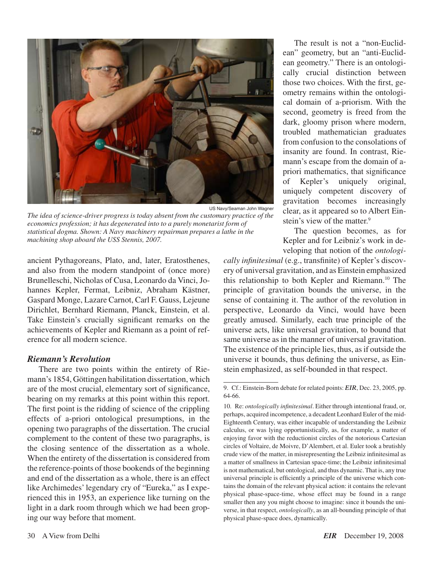

*The idea of science-driver progress is today absent from the customary practice of the economics profession; it has degenerated into to a purely monetarist form of statistical dogma. Shown: A Navy machinery repairman prepares a lathe in the machining shop aboard the USS Stennis, 2007.*

ancient Pythagoreans, Plato, and, later, Eratosthenes, and also from the modern standpoint of (once more) Brunelleschi, Nicholas of Cusa, Leonardo da Vinci, Johannes Kepler, Fermat, Leibniz, Abraham Kästner, Gaspard Monge, Lazare Carnot, Carl F. Gauss, Lejeune Dirichlet, Bernhard Riemann, Planck, Einstein, et al. Take Einstein's crucially significant remarks on the achievements of Kepler and Riemann as a point of reference for all modern science.

#### *Riemann's Revolution*

There are two points within the entirety of Riemann's 1854, Göttingen habilitation dissertation, which are of the most crucial, elementary sort of significance, bearing on my remarks at this point within this report. The first point is the ridding of science of the crippling effects of a-priori ontological presumptions, in the opening two paragraphs of the dissertation. The crucial complement to the content of these two paragraphs, is the closing sentence of the dissertation as a whole. When the entirety of the dissertation is considered from the reference-points of those bookends of the beginning and end of the dissertation as a whole, there is an effect like Archimedes'legendary cry of "Eureka," as I experienced this in 1953, an experience like turning on the light in a dark room through which we had been groping our way before that moment.

The result is not a "non-Euclidean" geometry, but an "anti-Euclidean geometry." There is an ontologically crucial distinction between those two choices. With the first, geometry remains within the ontological domain of a-priorism. With the second, geometry is freed from the dark, gloomy prison where modern, troubled mathematician graduates from confusion to the consolations of insanity are found. In contrast, Riemann's escape from the domain of apriori mathematics, that significance of Kepler's uniquely original, uniquely competent discovery of gravitation becomes increasingly clear, as it appeared so to Albert Einstein's view of the matter.<sup>9</sup>

The question becomes, as for Kepler and for Leibniz's work in developing that notion of the *ontologi-*

*cally infinitesimal* (e.g., transfinite) of Kepler's discovery of universal gravitation, and as Einstein emphasized this relationship to both Kepler and Riemann.<sup>10</sup> The principle of gravitation bounds the universe, in the sense of containing it. The author of the revolution in perspective, Leonardo da Vinci, would have been greatly amused. Similarly, each true principle of the universe acts, like universal gravitation, to bound that same universe as in the manner of universal gravitation. The existence of the principle lies, thus, as if outside the universe it bounds, thus defining the universe, as Einstein emphasized, as self-bounded in that respect.

<sup>9.</sup> Cf.: Einstein-Born debate for related points: *EIR*, Dec. 23, 2005, pp. 64-66.

<sup>10.</sup> Re: *ontologically infinitesimal*. Either through intentional fraud, or, perhaps, acquired incompetence, a decadent Leonhard Euler of the mid-Eighteenth Century, was either incapable of understanding the Leibniz calculus, or was lying opportunistically, as, for example, a matter of enjoying favor with the reductionist circles of the notorious Cartesian circles of Voltaire, de Moivre, D'Alembert, et al. Euler took a brutishly crude view of the matter, in misrepresenting the Leibniz infinitesimal as a matter of smallness in Cartesian space-time; the Leibniz infinitesimal is not mathematical, but ontological, and thus dynamic. That is, any true universal principle is efficiently a principle of the universe which contains the domain of the relevant physical action: it contains the relevant physical phase-space-time, whose effect may be found in a range smaller then any you might choose to imagine: since it bounds the universe, in that respect, *ontologically*, as an all-bounding principle of that physical phase-space does, dynamically.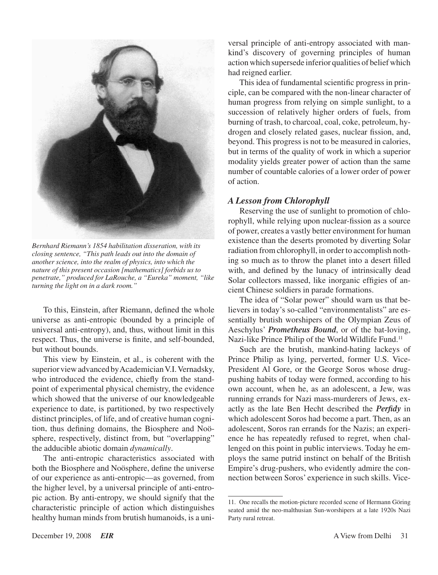

*Bernhard Riemann's 1854 habilitation disseration, with its closing sentence, "This path leads out into the domain of another science, into the realm of physics, into which the nature of this present occasion [mathematics] forbids us to penetrate," produced for LaRouche, a "Eureka" moment, "like turning the light on in a dark room."*

To this, Einstein, after Riemann, defined the whole universe as anti-entropic (bounded by a principle of universal anti-entropy), and, thus, without limit in this respect. Thus, the universe is finite, and self-bounded, but without bounds.

This view by Einstein, et al., is coherent with the superior view advanced by Academician V.I. Vernadsky, who introduced the evidence, chiefly from the standpoint of experimental physical chemistry, the evidence which showed that the universe of our knowledgeable experience to date, is partitioned, by two respectively distinct principles, of life, and of creative human cognition, thus defining domains, the Biosphere and Noösphere, respectively, distinct from, but "overlapping" the adducible abiotic domain *dynamically*.

The anti-entropic characteristics associated with both the Biosphere and Noösphere, define the universe of our experience as anti-entropic—as governed, from the higher level, by a universal principle of anti-entropic action. By anti-entropy, we should signify that the characteristic principle of action which distinguishes healthy human minds from brutish humanoids, is a universal principle of anti-entropy associated with mankind's discovery of governing principles of human action which supersede inferior qualities of belief which had reigned earlier.

This idea of fundamental scientific progress in principle, can be compared with the non-linear character of human progress from relying on simple sunlight, to a succession of relatively higher orders of fuels, from burning of trash, to charcoal, coal, coke, petroleum, hydrogen and closely related gases, nuclear fission, and, beyond. This progress is not to be measured in calories, but in terms of the quality of work in which a superior modality yields greater power of action than the same number of countable calories of a lower order of power of action.

#### *A Lesson from Chlorophyll*

Reserving the use of sunlight to promotion of chlorophyll, while relying upon nuclear-fission as a source of power, creates a vastly better environment for human existence than the deserts promoted by diverting Solar radiation from chlorophyll, in order to accomplish nothing so much as to throw the planet into a desert filled with, and defined by the lunacy of intrinsically dead Solar collectors massed, like inorganic effigies of ancient Chinese soldiers in parade formations.

The idea of "Solar power" should warn us that believers in today's so-called "environmentalists" are essentially brutish worshipers of the Olympian Zeus of Aeschylus' *Prometheus Bound*, or of the bat-loving, Nazi-like Prince Philip of the World Wildlife Fund.<sup>11</sup>

Such are the brutish, mankind-hating lackeys of Prince Philip as lying, perverted, former U.S. Vice-President Al Gore, or the George Soros whose drugpushing habits of today were formed, according to his own account, when he, as an adolescent, a Jew, was running errands for Nazi mass-murderers of Jews, exactly as the late Ben Hecht described the *Perfidy* in which adolescent Soros had become a part. Then, as an adolescent, Soros ran errands for the Nazis; an experience he has repeatedly refused to regret, when challenged on this point in public interviews. Today he employs the same putrid instinct on behalf of the British Empire's drug-pushers, who evidently admire the connection between Soros' experience in such skills. Vice-

<sup>11.</sup> One recalls the motion-picture recorded scene of Hermann Göring seated amid the neo-malthusian Sun-worshipers at a late 1920s Nazi Party rural retreat.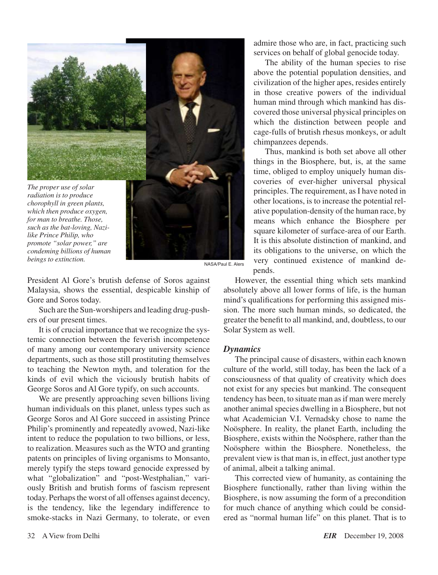

*for man to breathe. Those, such as the bat-loving, Nazilike Prince Philip, who promote "solar power," are condeming billions of human*  **beings to extinction.** NASA/Paul E. Alers

President Al Gore's brutish defense of Soros against Malaysia, shows the essential, despicable kinship of Gore and Soros today.

Such are the Sun-worshipers and leading drug-pushers of our present times.

It is of crucial importance that we recognize the systemic connection between the feverish incompetence of many among our contemporary university science departments, such as those still prostituting themselves to teaching the Newton myth, and toleration for the kinds of evil which the viciously brutish habits of George Soros and Al Gore typify, on such accounts.

We are presently approaching seven billions living human individuals on this planet, unless types such as George Soros and Al Gore succeed in assisting Prince Philip's prominently and repeatedly avowed, Nazi-like intent to reduce the population to two billions, or less, to realization. Measures such as the WTO and granting patents on principles of living organisms to Monsanto, merely typify the steps toward genocide expressed by what "globalization" and "post-Westphalian," variously British and brutish forms of fascism represent today. Perhaps the worst of all offenses against decency, is the tendency, like the legendary indifference to smoke-stacks in Nazi Germany, to tolerate, or even

admire those who are, in fact, practicing such services on behalf of global genocide today.

The ability of the human species to rise above the potential population densities, and civilization of the higher apes, resides entirely in those creative powers of the individual human mind through which mankind has discovered those universal physical principles on which the distinction between people and cage-fulls of brutish rhesus monkeys, or adult chimpanzees depends.

Thus, mankind is both set above all other things in the Biosphere, but, is, at the same time, obliged to employ uniquely human discoveries of ever-higher universal physical principles. The requirement, as I have noted in other locations, is to increase the potential relative population-density of the human race, by means which enhance the Biosphere per square kilometer of surface-area of our Earth. It is this absolute distinction of mankind, and its obligations to the universe, on which the very continued existence of mankind depends.

However, the essential thing which sets mankind absolutely above all lower forms of life, is the human mind's qualifications for performing this assigned mission. The more such human minds, so dedicated, the greater the benefit to all mankind, and, doubtless, to our Solar System as well.

#### *Dynamics*

The principal cause of disasters, within each known culture of the world, still today, has been the lack of a consciousness of that quality of creativity which does not exist for any species but mankind. The consequent tendency has been, to situate man as if man were merely another animal species dwelling in a Biosphere, but not what Academician V.I. Vernadsky chose to name the Noösphere. In reality, the planet Earth, including the Biosphere, exists within the Noösphere, rather than the Noösphere within the Biosphere. Nonetheless, the prevalent view is that man is, in effect, just another type of animal, albeit a talking animal.

This corrected view of humanity, as containing the Biosphere functionally, rather than living within the Biosphere, is now assuming the form of a precondition for much chance of anything which could be considered as "normal human life" on this planet. That is to